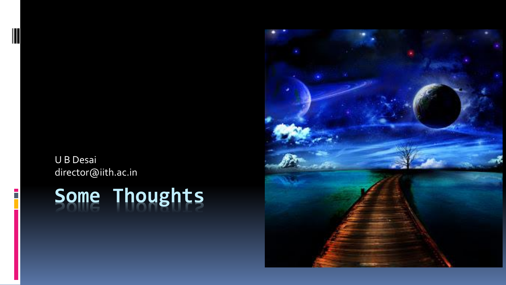#### U B Desai director@iith.ac.in

## **Some Thoughts**

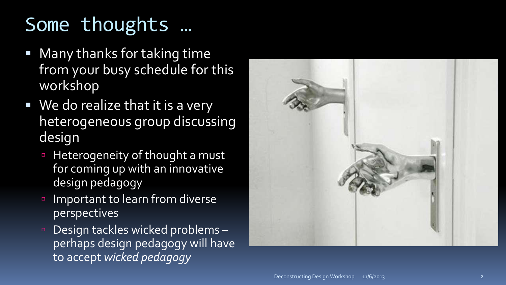### Some thoughts …

- Many thanks for taking time from your busy schedule for this workshop
- We do realize that it is a very heterogeneous group discussing design
	- Heterogeneity of thought a must for coming up with an innovative design pedagogy
	- Important to learn from diverse perspectives
	- Design tackles wicked problems– perhaps design pedagogy will have to accept *wicked pedagogy*

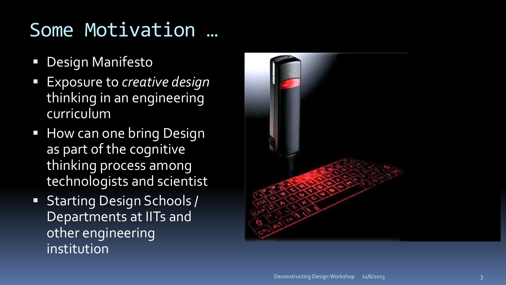### Some Motivation …

- **Design Manifesto**
- Exposure to *creative design* thinking in an engineering curriculum
- **How can one bring Design** as part of the cognitive thinking process among technologists and scientist
- **Starting Design Schools /** Departments at IITs and other engineering institution

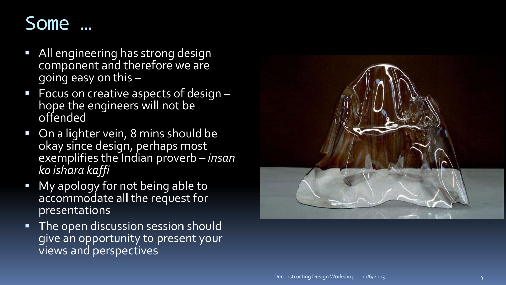

- All engineering has strong design component and therefore we are going easy on this –
- **Focus on creative aspects of design** hope the engineers will not be offended
- On a lighter vein, 8 mins should be okay since design, perhaps most exemplifies the Indian proverb – *insan ko ishara kaffi*
- My apology for not being able to accommodate all the request for presentations
- The open discussion session should give an opportunity to present your views and perspectives